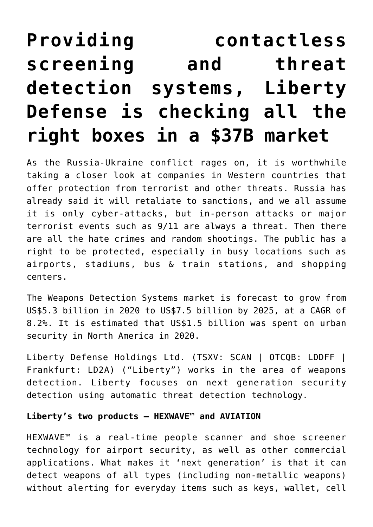# **[Providing contactless](https://investorintel.com/markets/technology/technology-intel/providing-contactless-screening-and-threat-detection-systems-liberty-defense-is-checking-all-the-right-boxes-in-a-37b-market/) [screening and threat](https://investorintel.com/markets/technology/technology-intel/providing-contactless-screening-and-threat-detection-systems-liberty-defense-is-checking-all-the-right-boxes-in-a-37b-market/) [detection systems, Liberty](https://investorintel.com/markets/technology/technology-intel/providing-contactless-screening-and-threat-detection-systems-liberty-defense-is-checking-all-the-right-boxes-in-a-37b-market/) [Defense is checking all the](https://investorintel.com/markets/technology/technology-intel/providing-contactless-screening-and-threat-detection-systems-liberty-defense-is-checking-all-the-right-boxes-in-a-37b-market/) [right boxes in a \\$37B market](https://investorintel.com/markets/technology/technology-intel/providing-contactless-screening-and-threat-detection-systems-liberty-defense-is-checking-all-the-right-boxes-in-a-37b-market/)**

As the Russia-Ukraine conflict rages on, it is worthwhile taking a closer look at companies in Western countries that offer protection from terrorist and other threats. Russia has already said it will retaliate to sanctions, and we all assume it is only cyber-attacks, but in-person attacks or major terrorist events such as 9/11 are always a threat. Then there are all the hate crimes and random shootings. The public has a right to be protected, especially in busy locations such as airports, stadiums, bus & train stations, and shopping centers.

The Weapons Detection Systems market is forecast to grow from [US\\$5.3 billion in 2020 to US\\$7.5 billion by 2025](https://libertydefense.com/), at a CAGR of 8.2%. It is estimated that [US\\$1.5 billion](https://libertydefense.com/wp-content/uploads/LD-Presentation_22Feb2022.pdf) was spent on urban security in North America in 2020.

[Liberty Defense Holdings Ltd.](https://libertydefense.com/) (TSXV: SCAN | OTCQB: LDDFF | Frankfurt: LD2A) ("Liberty") works in the area of weapons detection. Liberty focuses on next generation security detection using automatic threat detection technology.

#### **Liberty's two products – HEXWAVE™ and AVIATION**

HEXWAVE™ is a real-time people scanner and shoe screener technology for airport security, as well as other commercial applications. What makes it 'next generation' is that it can detect weapons of all types (including non-metallic weapons) without alerting for everyday items such as keys, wallet, cell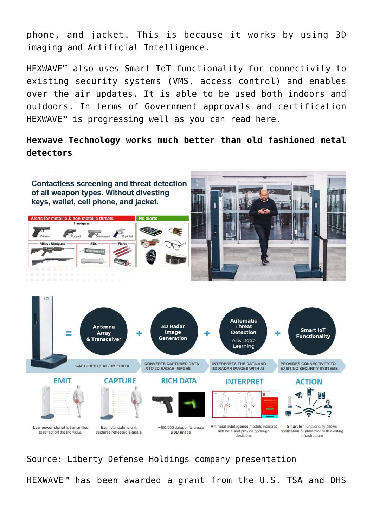phone, and jacket. This is because it works by using 3D imaging and Artificial Intelligence.

HEXWAVE™ also uses Smart IoT functionality for connectivity to existing security systems (VMS, access control) and enables over the air updates. It is able to be used both indoors and outdoors. In terms of Government approvals and certification HEXWAVE™ is progressing well as you can read [here.](https://libertydefense.com/news/liberty-defense-granted-fcc-order-for-hexwave-security-detection-system/)

**Hexwave Technology works much better than old fashioned metal detectors**



Source: [Liberty Defense Holdings company presentation](https://libertydefense.com/wp-content/uploads/LD-Presentation_22Feb2022.pdf) HEXWAVE™ has been awarded a grant from the U.S. TSA and DHS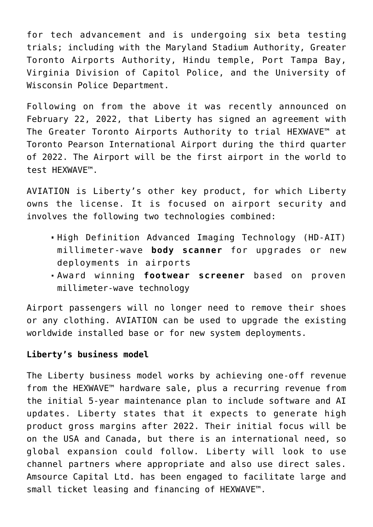for tech advancement and is undergoing [six beta testing](https://libertydefense.com/wp-content/uploads/LD-Presentation_22Feb2022.pdf) [trials;](https://libertydefense.com/wp-content/uploads/LD-Presentation_22Feb2022.pdf) including with the Maryland Stadium Authority, Greater Toronto Airports Authority, Hindu temple, Port Tampa Bay, Virginia Division of Capitol Police, and the University of Wisconsin Police Department.

Following on from the above it was recently [announced](https://libertydefense.com/news/liberty-defense-signs-canadas-largest-airport-to-test-ai-security-detection-system/) on February 22, 2022, that Liberty has signed an agreement with The Greater Toronto Airports Authority to trial HEXWAVE™ at Toronto Pearson International Airport during the third quarter of 2022. The Airport will be the first airport in the world to test HEXWAVE™.

AVIATION is Liberty's other key product, for which Liberty owns the license. It is focused on airport security and involves the following two technologies combined:

- High Definition Advanced Imaging Technology (HD-AIT) millimeter-wave **body scanner** for upgrades or new deployments in airports
- Award winning **footwear screener** based on proven millimeter-wave technology

Airport passengers will no longer need to remove their shoes or any clothing. AVIATION can be used to upgrade the existing worldwide installed base or for new system deployments.

## **Liberty's business model**

The Liberty business model works by achieving one-off revenue from the HEXWAVE™ hardware sale, plus a recurring revenue from the initial 5-year maintenance plan to include software and AI updates. Liberty [states](https://libertydefense.com/wp-content/uploads/LD-Presentation_22Feb2022.pdf) that it expects to generate high product gross margins after 2022. Their initial focus will be on the USA and Canada, but there is an international need, so global expansion could follow. Liberty will look to use channel partners where appropriate and also use direct sales. Amsource Capital Ltd. has been engaged to facilitate large and small ticket leasing and financing of HEXWAVE™.